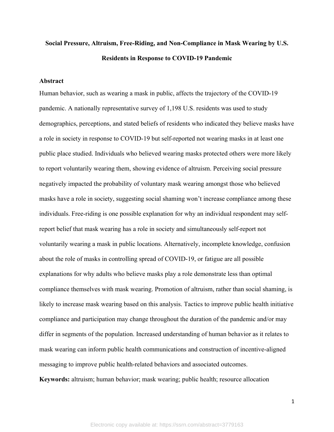# **Social Pressure, Altruism, Free-Riding, and Non-Compliance in Mask Wearing by U.S. Residents in Response to COVID-19 Pandemic**

#### **Abstract**

Human behavior, such as wearing a mask in public, affects the trajectory of the COVID-19 pandemic. A nationally representative survey of 1,198 U.S. residents was used to study demographics, perceptions, and stated beliefs of residents who indicated they believe masks have a role in society in response to COVID-19 but self-reported not wearing masks in at least one public place studied. Individuals who believed wearing masks protected others were more likely to report voluntarily wearing them, showing evidence of altruism. Perceiving social pressure negatively impacted the probability of voluntary mask wearing amongst those who believed masks have a role in society, suggesting social shaming won't increase compliance among these individuals. Free-riding is one possible explanation for why an individual respondent may selfreport belief that mask wearing has a role in society and simultaneously self-report not voluntarily wearing a mask in public locations. Alternatively, incomplete knowledge, confusion about the role of masks in controlling spread of COVID-19, or fatigue are all possible explanations for why adults who believe masks play a role demonstrate less than optimal compliance themselves with mask wearing. Promotion of altruism, rather than social shaming, is likely to increase mask wearing based on this analysis. Tactics to improve public health initiative compliance and participation may change throughout the duration of the pandemic and/or may differ in segments of the population. Increased understanding of human behavior as it relates to mask wearing can inform public health communications and construction of incentive-aligned messaging to improve public health-related behaviors and associated outcomes. **Keywords:** altruism; human behavior; mask wearing; public health; resource allocation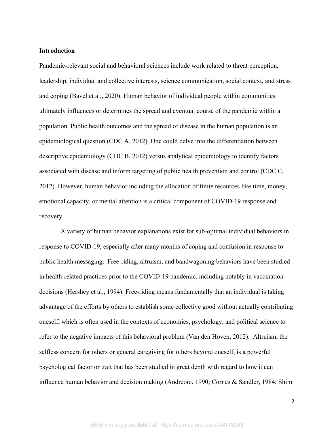#### **Introduction**

Pandemic-relevant social and behavioral sciences include work related to threat perception, leadership, individual and collective interests, science communication, social context, and stress and coping (Bavel et al., 2020). Human behavior of individual people within communities ultimately influences or determines the spread and eventual course of the pandemic within a population. Public health outcomes and the spread of disease in the human population is an epidemiological question (CDC A, 2012). One could delve into the differentiation between descriptive epidemiology (CDC B, 2012) versus analytical epidemiology to identify factors associated with disease and inform targeting of public health prevention and control (CDC C, 2012). However, human behavior including the allocation of finite resources like time, money, emotional capacity, or mental attention is a critical component of COVID-19 response and recovery.

 A variety of human behavior explanations exist for sub-optimal individual behaviors in response to COVID-19, especially after many months of coping and confusion in response to public health messaging. Free-riding, altruism, and bandwagoning behaviors have been studied in health-related practices prior to the COVID-19 pandemic, including notably in vaccination decisions (Hershey et al., 1994). Free-riding means fundamentally that an individual is taking advantage of the efforts by others to establish some collective good without actually contributing oneself, which is often used in the contexts of economics, psychology, and political science to refer to the negative impacts of this behavioral problem (Van den Hoven, 2012). Altruism, the selfless concern for others or general caregiving for others beyond oneself, is a powerful psychological factor or trait that has been studied in great depth with regard to how it can influence human behavior and decision making (Andreoni, 1990; Cornes & Sandler, 1984; Shim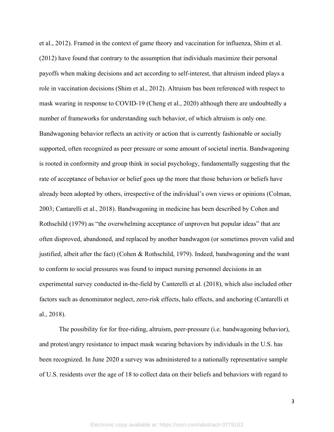et al., 2012). Framed in the context of game theory and vaccination for influenza, Shim et al. (2012) have found that contrary to the assumption that individuals maximize their personal payoffs when making decisions and act according to self-interest, that altruism indeed plays a role in vaccination decisions (Shim et al., 2012). Altruism bas been referenced with respect to mask wearing in response to COVID-19 (Cheng et al., 2020) although there are undoubtedly a number of frameworks for understanding such behavior, of which altruism is only one. Bandwagoning behavior reflects an activity or action that is currently fashionable or socially supported, often recognized as peer pressure or some amount of societal inertia. Bandwagoning is rooted in conformity and group think in social psychology, fundamentally suggesting that the rate of acceptance of behavior or belief goes up the more that those behaviors or beliefs have already been adopted by others, irrespective of the individual's own views or opinions (Colman, 2003; Cantarelli et al., 2018). Bandwagoning in medicine has been described by Cohen and Rothschild (1979) as "the overwhelming acceptance of unproven but popular ideas" that are often disproved, abandoned, and replaced by another bandwagon (or sometimes proven valid and justified, albeit after the fact) (Cohen & Rothschild, 1979). Indeed, bandwagoning and the want to conform to social pressures was found to impact nursing personnel decisions in an experimental survey conducted in-the-field by Canterelli et al. (2018), which also included other factors such as denominator neglect, zero-risk effects, halo effects, and anchoring (Cantarelli et al., 2018).

The possibility for for free-riding, altruism, peer-pressure (i.e. bandwagoning behavior), and protest/angry resistance to impact mask wearing behaviors by individuals in the U.S. has been recognized. In June 2020 a survey was administered to a nationally representative sample of U.S. residents over the age of 18 to collect data on their beliefs and behaviors with regard to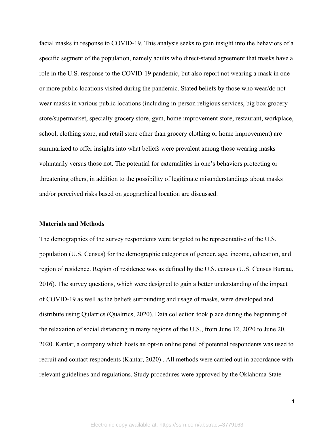facial masks in response to COVID-19. This analysis seeks to gain insight into the behaviors of a specific segment of the population, namely adults who direct-stated agreement that masks have a role in the U.S. response to the COVID-19 pandemic, but also report not wearing a mask in one or more public locations visited during the pandemic. Stated beliefs by those who wear/do not wear masks in various public locations (including in-person religious services, big box grocery store/supermarket, specialty grocery store, gym, home improvement store, restaurant, workplace, school, clothing store, and retail store other than grocery clothing or home improvement) are summarized to offer insights into what beliefs were prevalent among those wearing masks voluntarily versus those not. The potential for externalities in one's behaviors protecting or threatening others, in addition to the possibility of legitimate misunderstandings about masks and/or perceived risks based on geographical location are discussed.

#### **Materials and Methods**

The demographics of the survey respondents were targeted to be representative of the U.S. population (U.S. Census) for the demographic categories of gender, age, income, education, and region of residence. Region of residence was as defined by the U.S. census (U.S. Census Bureau, 2016). The survey questions, which were designed to gain a better understanding of the impact of COVID-19 as well as the beliefs surrounding and usage of masks, were developed and distribute using Qulatrics (Qualtrics, 2020). Data collection took place during the beginning of the relaxation of social distancing in many regions of the U.S., from June 12, 2020 to June 20, 2020. Kantar, a company which hosts an opt-in online panel of potential respondents was used to recruit and contact respondents (Kantar, 2020) . All methods were carried out in accordance with relevant guidelines and regulations. Study procedures were approved by the Oklahoma State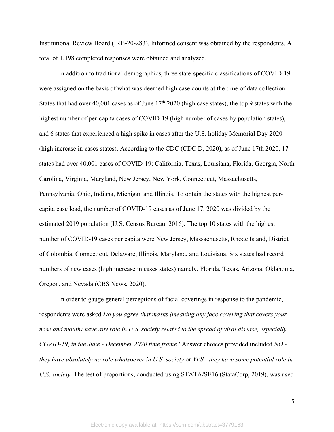Institutional Review Board (IRB-20-283). Informed consent was obtained by the respondents. A total of 1,198 completed responses were obtained and analyzed.

In addition to traditional demographics, three state-specific classifications of COVID-19 were assigned on the basis of what was deemed high case counts at the time of data collection. States that had over 40,001 cases as of June  $17<sup>th</sup> 2020$  (high case states), the top 9 states with the highest number of per-capita cases of COVID-19 (high number of cases by population states), and 6 states that experienced a high spike in cases after the U.S. holiday Memorial Day 2020 (high increase in cases states). According to the CDC (CDC D, 2020), as of June 17th 2020, 17 states had over 40,001 cases of COVID-19: California, Texas, Louisiana, Florida, Georgia, North Carolina, Virginia, Maryland, New Jersey, New York, Connecticut, Massachusetts, Pennsylvania, Ohio, Indiana, Michigan and Illinois. To obtain the states with the highest percapita case load, the number of COVID-19 cases as of June 17, 2020 was divided by the estimated 2019 population (U.S. Census Bureau, 2016). The top 10 states with the highest number of COVID-19 cases per capita were New Jersey, Massachusetts, Rhode Island, District of Colombia, Connecticut, Delaware, Illinois, Maryland, and Louisiana. Six states had record numbers of new cases (high increase in cases states) namely, Florida, Texas, Arizona, Oklahoma, Oregon, and Nevada (CBS News, 2020).

In order to gauge general perceptions of facial coverings in response to the pandemic, respondents were asked *Do you agree that masks (meaning any face covering that covers your nose and mouth) have any role in U.S. society related to the spread of viral disease, especially COVID-19, in the June - December 2020 time frame?* Answer choices provided included *NO they have absolutely no role whatsoever in U.S. society* or *YES - they have some potential role in U.S. society.* The test of proportions, conducted using STATA/SE16 (StataCorp, 2019), was used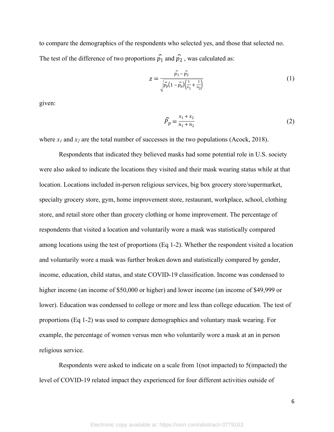to compare the demographics of the respondents who selected yes, and those that selected no. The test of the difference of two proportions  $\hat{p}_1$  and  $\hat{p}_2$ , was calculated as:

$$
z = \frac{\hat{p}_1 - \hat{p}_2}{\sqrt{\hat{p}_p(1 - \hat{p}_p)\left(\frac{1}{n_1} + \frac{1}{n_2}\right)}}
$$
(1)

given:

$$
\widehat{P}_p = \frac{x_1 + x_2}{n_1 + n_2} \tag{2}
$$

where  $x_1$  and  $x_2$  are the total number of successes in the two populations (Acock, 2018).

Respondents that indicated they believed masks had some potential role in U.S. society were also asked to indicate the locations they visited and their mask wearing status while at that location. Locations included in-person religious services, big box grocery store/supermarket, specialty grocery store, gym, home improvement store, restaurant, workplace, school, clothing store, and retail store other than grocery clothing or home improvement. The percentage of respondents that visited a location and voluntarily wore a mask was statistically compared among locations using the test of proportions (Eq 1-2). Whether the respondent visited a location and voluntarily wore a mask was further broken down and statistically compared by gender, income, education, child status, and state COVID-19 classification. Income was condensed to higher income (an income of \$50,000 or higher) and lower income (an income of \$49,999 or lower). Education was condensed to college or more and less than college education. The test of proportions (Eq 1-2) was used to compare demographics and voluntary mask wearing. For example, the percentage of women versus men who voluntarily wore a mask at an in person religious service.

Respondents were asked to indicate on a scale from 1(not impacted) to 5(impacted) the level of COVID-19 related impact they experienced for four different activities outside of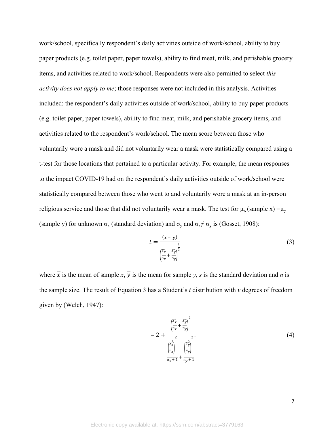work/school, specifically respondent's daily activities outside of work/school, ability to buy paper products (e.g. toilet paper, paper towels), ability to find meat, milk, and perishable grocery items, and activities related to work/school. Respondents were also permitted to select *this activity does not apply to me*; those responses were not included in this analysis. Activities included: the respondent's daily activities outside of work/school, ability to buy paper products (e.g. toilet paper, paper towels), ability to find meat, milk, and perishable grocery items, and activities related to the respondent's work/school. The mean score between those who voluntarily wore a mask and did not voluntarily wear a mask were statistically compared using a t-test for those locations that pertained to a particular activity. For example, the mean responses to the impact COVID-19 had on the respondent's daily activities outside of work/school were statistically compared between those who went to and voluntarily wore a mask at an in-person religious service and those that did not voluntarily wear a mask. The test for  $\mu_x$  (sample x) =  $\mu_y$ (sample y) for unknown  $\sigma_x$  (standard deviation) and  $\sigma_y$  and  $\sigma_x \neq \sigma_y$  is (Gosset, 1908):

$$
t = \frac{(\overline{x} - \overline{y})}{\left(\frac{s_x^2}{n_x} + \frac{s_y^2}{n_y}\right)^{\frac{1}{2}}}
$$
 (3)

where  $\overline{x}$  is the mean of sample *x*,  $\overline{y}$  is the mean for sample *y*, *s* is the standard deviation and *n* is the sample size. The result of Equation 3 has a Student's *t* distribution with *v* degrees of freedom given by (Welch, 1947):

$$
-2 + \frac{\left(\frac{s_x^2}{n_x} + \frac{s_y^2}{n_y}\right)^2}{\frac{\left(\frac{s_x^2}{n_x}\right)^2}{n_x + 1} + \frac{\left(\frac{s_y^2}{n_y}\right)^2}{n_y + 1}}
$$
\n(4)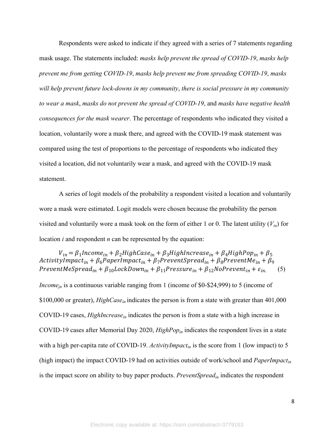Respondents were asked to indicate if they agreed with a series of 7 statements regarding mask usage. The statements included: *masks help prevent the spread of COVID-19*, *masks help prevent me from getting COVID-19*, *masks help prevent me from spreading COVID-19*, *masks will help prevent future lock-downs in my community*, *there is social pressure in my community to wear a mask*, *masks do not prevent the spread of COVID-19*, and *masks have negative health consequences for the mask wearer*. The percentage of respondents who indicated they visited a location, voluntarily wore a mask there, and agreed with the COVID-19 mask statement was compared using the test of proportions to the percentage of respondents who indicated they visited a location, did not voluntarily wear a mask, and agreed with the COVID-19 mask statement.

A series of logit models of the probability a respondent visited a location and voluntarily wore a mask were estimated. Logit models were chosen because the probability the person visited and voluntarily wore a mask took on the form of either 1 or 0. The latent utility (*Vin*) for location *i* and respondent *n* can be represented by the equation:

 $V_{in} = \beta_1$ Income<sub>in</sub> +  $\beta_2$ HighCase<sub>in</sub> +  $\beta_3$ HighIncrease<sub>in</sub> +  $\beta_4$ HighPop<sub>in</sub> +  $\beta_5$ ActivityImpact<sub>in</sub> +  $\beta_6$ PaperImpact<sub>in</sub> +  $\beta_7$ PreventSpread<sub>in</sub> +  $\beta_8$ PreventMe<sub>in</sub> +  $\beta_9$ PreventMeSpread<sub>in</sub> +  $\beta_{10}$ LockDown<sub>in</sub> +  $\beta_{11}$ Pressure<sub>in</sub> +  $\beta_{12}$ NoPrevent<sub>in</sub> +  $\varepsilon_{in}$  (5)

*Income<sub>in</sub>* is a continuous variable ranging from 1 (income of \$0-\$24,999) to 5 (income of \$100,000 or greater), *HighCase*<sub>in</sub> indicates the person is from a state with greater than 401,000 COVID-19 cases, *HighIncreasein* indicates the person is from a state with a high increase in COVID-19 cases after Memorial Day 2020, *HighPopin* indicates the respondent lives in a state with a high per-capita rate of COVID-19. *ActivityImpact<sub>in</sub>* is the score from 1 (low impact) to 5 (high impact) the impact COVID-19 had on activities outside of work/school and *PaperImpactin* is the impact score on ability to buy paper products. *PreventSpreadin* indicates the respondent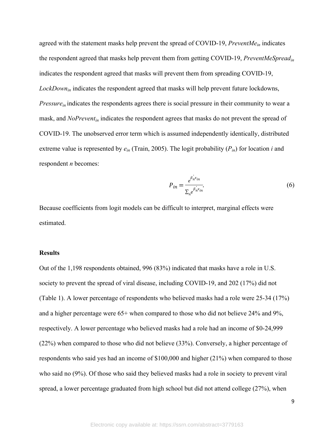agreed with the statement masks help prevent the spread of COVID-19, *PreventMein* indicates the respondent agreed that masks help prevent them from getting COVID-19, *PreventMeSpreadin* indicates the respondent agreed that masks will prevent them from spreading COVID-19, *LockDownin* indicates the respondent agreed that masks will help prevent future lockdowns, *Pressurein* indicates the respondents agrees there is social pressure in their community to wear a mask, and *NoPreventin* indicates the respondent agrees that masks do not prevent the spread of COVID-19. The unobserved error term which is assumed independently identically, distributed extreme value is represented by  $e_{in}$  (Train, 2005). The logit probability  $(P_{in})$  for location *i* and respondent *n* becomes:

$$
P_{in} = \frac{e^{\beta_n x_{in}}}{\Sigma_n e^{\beta_n x_{in}}}.
$$
\n<sup>(6)</sup>

Because coefficients from logit models can be difficult to interpret, marginal effects were estimated.

#### **Results**

Out of the 1,198 respondents obtained, 996 (83%) indicated that masks have a role in U.S. society to prevent the spread of viral disease, including COVID-19, and 202 (17%) did not (Table 1). A lower percentage of respondents who believed masks had a role were 25-34 (17%) and a higher percentage were 65+ when compared to those who did not believe 24% and 9%, respectively. A lower percentage who believed masks had a role had an income of \$0-24,999 (22%) when compared to those who did not believe (33%). Conversely, a higher percentage of respondents who said yes had an income of \$100,000 and higher (21%) when compared to those who said no (9%). Of those who said they believed masks had a role in society to prevent viral spread, a lower percentage graduated from high school but did not attend college (27%), when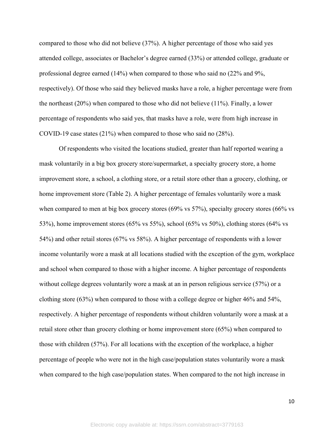compared to those who did not believe (37%). A higher percentage of those who said yes attended college, associates or Bachelor's degree earned (33%) or attended college, graduate or professional degree earned (14%) when compared to those who said no (22% and 9%, respectively). Of those who said they believed masks have a role, a higher percentage were from the northeast (20%) when compared to those who did not believe (11%). Finally, a lower percentage of respondents who said yes, that masks have a role, were from high increase in COVID-19 case states (21%) when compared to those who said no (28%).

Of respondents who visited the locations studied, greater than half reported wearing a mask voluntarily in a big box grocery store/supermarket, a specialty grocery store, a home improvement store, a school, a clothing store, or a retail store other than a grocery, clothing, or home improvement store (Table 2). A higher percentage of females voluntarily wore a mask when compared to men at big box grocery stores (69% vs 57%), specialty grocery stores (66% vs 53%), home improvement stores (65% vs 55%), school (65% vs 50%), clothing stores (64% vs 54%) and other retail stores (67% vs 58%). A higher percentage of respondents with a lower income voluntarily wore a mask at all locations studied with the exception of the gym, workplace and school when compared to those with a higher income. A higher percentage of respondents without college degrees voluntarily wore a mask at an in person religious service (57%) or a clothing store (63%) when compared to those with a college degree or higher 46% and 54%, respectively. A higher percentage of respondents without children voluntarily wore a mask at a retail store other than grocery clothing or home improvement store (65%) when compared to those with children (57%). For all locations with the exception of the workplace, a higher percentage of people who were not in the high case/population states voluntarily wore a mask when compared to the high case/population states. When compared to the not high increase in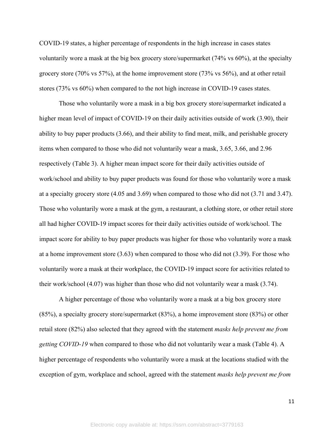COVID-19 states, a higher percentage of respondents in the high increase in cases states voluntarily wore a mask at the big box grocery store/supermarket (74% vs 60%), at the specialty grocery store (70% vs 57%), at the home improvement store (73% vs 56%), and at other retail stores (73% vs 60%) when compared to the not high increase in COVID-19 cases states.

Those who voluntarily wore a mask in a big box grocery store/supermarket indicated a higher mean level of impact of COVID-19 on their daily activities outside of work (3.90), their ability to buy paper products (3.66), and their ability to find meat, milk, and perishable grocery items when compared to those who did not voluntarily wear a mask, 3.65, 3.66, and 2.96 respectively (Table 3). A higher mean impact score for their daily activities outside of work/school and ability to buy paper products was found for those who voluntarily wore a mask at a specialty grocery store (4.05 and 3.69) when compared to those who did not (3.71 and 3.47). Those who voluntarily wore a mask at the gym, a restaurant, a clothing store, or other retail store all had higher COVID-19 impact scores for their daily activities outside of work/school. The impact score for ability to buy paper products was higher for those who voluntarily wore a mask at a home improvement store (3.63) when compared to those who did not (3.39). For those who voluntarily wore a mask at their workplace, the COVID-19 impact score for activities related to their work/school (4.07) was higher than those who did not voluntarily wear a mask (3.74).

A higher percentage of those who voluntarily wore a mask at a big box grocery store (85%), a specialty grocery store/supermarket (83%), a home improvement store (83%) or other retail store (82%) also selected that they agreed with the statement *masks help prevent me from getting COVID-19* when compared to those who did not voluntarily wear a mask (Table 4). A higher percentage of respondents who voluntarily wore a mask at the locations studied with the exception of gym, workplace and school, agreed with the statement *masks help prevent me from*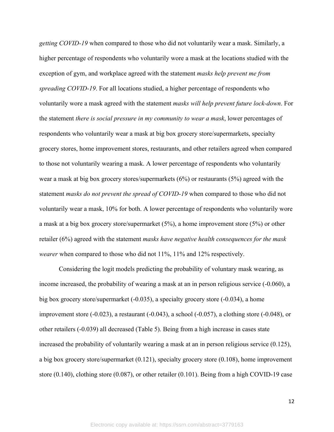*getting COVID-19* when compared to those who did not voluntarily wear a mask. Similarly, a higher percentage of respondents who voluntarily wore a mask at the locations studied with the exception of gym, and workplace agreed with the statement *masks help prevent me from spreading COVID-19*. For all locations studied, a higher percentage of respondents who voluntarily wore a mask agreed with the statement *masks will help prevent future lock-down*. For the statement *there is social pressure in my community to wear a mask*, lower percentages of respondents who voluntarily wear a mask at big box grocery store/supermarkets, specialty grocery stores, home improvement stores, restaurants, and other retailers agreed when compared to those not voluntarily wearing a mask. A lower percentage of respondents who voluntarily wear a mask at big box grocery stores/supermarkets (6%) or restaurants (5%) agreed with the statement *masks do not prevent the spread of COVID-19* when compared to those who did not voluntarily wear a mask, 10% for both. A lower percentage of respondents who voluntarily wore a mask at a big box grocery store/supermarket (5%), a home improvement store (5%) or other retailer (6%) agreed with the statement *masks have negative health consequences for the mask wearer* when compared to those who did not 11%, 11% and 12% respectively.

Considering the logit models predicting the probability of voluntary mask wearing, as income increased, the probability of wearing a mask at an in person religious service (-0.060), a big box grocery store/supermarket (-0.035), a specialty grocery store (-0.034), a home improvement store  $(-0.023)$ , a restaurant  $(-0.043)$ , a school  $(-0.057)$ , a clothing store  $(-0.048)$ , or other retailers (-0.039) all decreased (Table 5). Being from a high increase in cases state increased the probability of voluntarily wearing a mask at an in person religious service (0.125), a big box grocery store/supermarket (0.121), specialty grocery store (0.108), home improvement store (0.140), clothing store (0.087), or other retailer (0.101). Being from a high COVID-19 case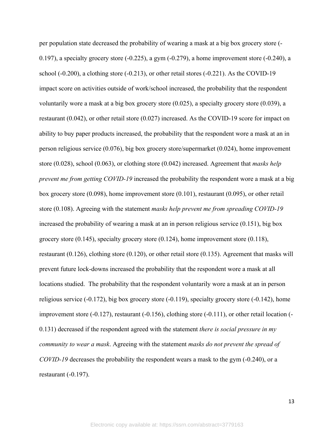per population state decreased the probability of wearing a mask at a big box grocery store (- 0.197), a specialty grocery store  $(-0.225)$ , a gym  $(-0.279)$ , a home improvement store  $(-0.240)$ , a school (-0.200), a clothing store (-0.213), or other retail stores (-0.221). As the COVID-19 impact score on activities outside of work/school increased, the probability that the respondent voluntarily wore a mask at a big box grocery store (0.025), a specialty grocery store (0.039), a restaurant (0.042), or other retail store (0.027) increased. As the COVID-19 score for impact on ability to buy paper products increased, the probability that the respondent wore a mask at an in person religious service (0.076), big box grocery store/supermarket (0.024), home improvement store (0.028), school (0.063), or clothing store (0.042) increased. Agreement that *masks help prevent me from getting COVID-19* increased the probability the respondent wore a mask at a big box grocery store (0.098), home improvement store (0.101), restaurant (0.095), or other retail store (0.108). Agreeing with the statement *masks help prevent me from spreading COVID-19* increased the probability of wearing a mask at an in person religious service (0.151), big box grocery store (0.145), specialty grocery store (0.124), home improvement store (0.118), restaurant (0.126), clothing store (0.120), or other retail store (0.135). Agreement that masks will prevent future lock-downs increased the probability that the respondent wore a mask at all locations studied. The probability that the respondent voluntarily wore a mask at an in person religious service (-0.172), big box grocery store (-0.119), specialty grocery store (-0.142), home improvement store (-0.127), restaurant (-0.156), clothing store (-0.111), or other retail location (- 0.131) decreased if the respondent agreed with the statement *there is social pressure in my community to wear a mask*. Agreeing with the statement *masks do not prevent the spread of COVID-19* decreases the probability the respondent wears a mask to the gym (-0.240), or a restaurant (-0.197).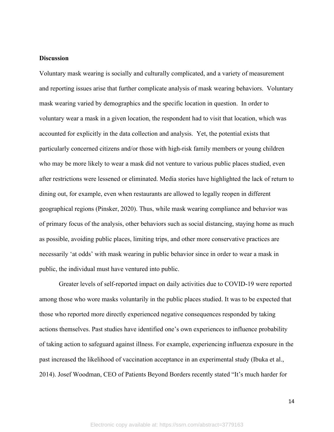#### **Discussion**

Voluntary mask wearing is socially and culturally complicated, and a variety of measurement and reporting issues arise that further complicate analysis of mask wearing behaviors. Voluntary mask wearing varied by demographics and the specific location in question. In order to voluntary wear a mask in a given location, the respondent had to visit that location, which was accounted for explicitly in the data collection and analysis. Yet, the potential exists that particularly concerned citizens and/or those with high-risk family members or young children who may be more likely to wear a mask did not venture to various public places studied, even after restrictions were lessened or eliminated. Media stories have highlighted the lack of return to dining out, for example, even when restaurants are allowed to legally reopen in different geographical regions (Pinsker, 2020). Thus, while mask wearing compliance and behavior was of primary focus of the analysis, other behaviors such as social distancing, staying home as much as possible, avoiding public places, limiting trips, and other more conservative practices are necessarily 'at odds' with mask wearing in public behavior since in order to wear a mask in public, the individual must have ventured into public.

Greater levels of self-reported impact on daily activities due to COVID-19 were reported among those who wore masks voluntarily in the public places studied. It was to be expected that those who reported more directly experienced negative consequences responded by taking actions themselves. Past studies have identified one's own experiences to influence probability of taking action to safeguard against illness. For example, experiencing influenza exposure in the past increased the likelihood of vaccination acceptance in an experimental study (Ibuka et al., 2014). Josef Woodman, CEO of Patients Beyond Borders recently stated "It's much harder for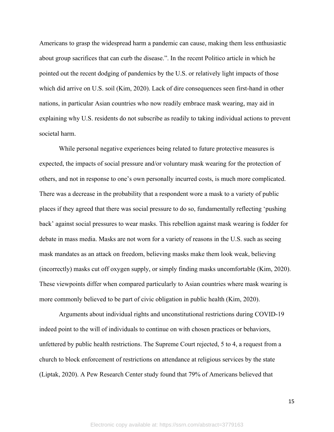Americans to grasp the widespread harm a pandemic can cause, making them less enthusiastic about group sacrifices that can curb the disease.". In the recent Politico article in which he pointed out the recent dodging of pandemics by the U.S. or relatively light impacts of those which did arrive on U.S. soil (Kim, 2020). Lack of dire consequences seen first-hand in other nations, in particular Asian countries who now readily embrace mask wearing, may aid in explaining why U.S. residents do not subscribe as readily to taking individual actions to prevent societal harm.

While personal negative experiences being related to future protective measures is expected, the impacts of social pressure and/or voluntary mask wearing for the protection of others, and not in response to one's own personally incurred costs, is much more complicated. There was a decrease in the probability that a respondent wore a mask to a variety of public places if they agreed that there was social pressure to do so, fundamentally reflecting 'pushing back' against social pressures to wear masks. This rebellion against mask wearing is fodder for debate in mass media. Masks are not worn for a variety of reasons in the U.S. such as seeing mask mandates as an attack on freedom, believing masks make them look weak, believing (incorrectly) masks cut off oxygen supply, or simply finding masks uncomfortable (Kim, 2020). These viewpoints differ when compared particularly to Asian countries where mask wearing is more commonly believed to be part of civic obligation in public health (Kim, 2020).

Arguments about individual rights and unconstitutional restrictions during COVID-19 indeed point to the will of individuals to continue on with chosen practices or behaviors, unfettered by public health restrictions. The Supreme Court rejected, 5 to 4, a request from a church to block enforcement of restrictions on attendance at religious services by the state (Liptak, 2020). A Pew Research Center study found that 79% of Americans believed that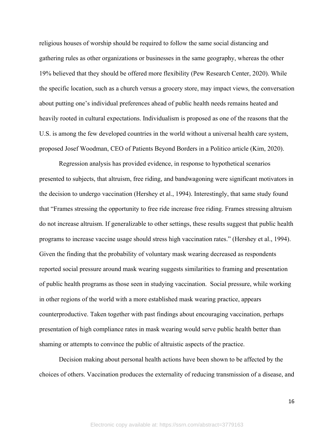religious houses of worship should be required to follow the same social distancing and gathering rules as other organizations or businesses in the same geography, whereas the other 19% believed that they should be offered more flexibility (Pew Research Center, 2020). While the specific location, such as a church versus a grocery store, may impact views, the conversation about putting one's individual preferences ahead of public health needs remains heated and heavily rooted in cultural expectations. Individualism is proposed as one of the reasons that the U.S. is among the few developed countries in the world without a universal health care system, proposed Josef Woodman, CEO of Patients Beyond Borders in a Politico article (Kim, 2020).

Regression analysis has provided evidence, in response to hypothetical scenarios presented to subjects, that altruism, free riding, and bandwagoning were significant motivators in the decision to undergo vaccination (Hershey et al., 1994). Interestingly, that same study found that "Frames stressing the opportunity to free ride increase free riding. Frames stressing altruism do not increase altruism. If generalizable to other settings, these results suggest that public health programs to increase vaccine usage should stress high vaccination rates." (Hershey et al., 1994). Given the finding that the probability of voluntary mask wearing decreased as respondents reported social pressure around mask wearing suggests similarities to framing and presentation of public health programs as those seen in studying vaccination. Social pressure, while working in other regions of the world with a more established mask wearing practice, appears counterproductive. Taken together with past findings about encouraging vaccination, perhaps presentation of high compliance rates in mask wearing would serve public health better than shaming or attempts to convince the public of altruistic aspects of the practice.

Decision making about personal health actions have been shown to be affected by the choices of others. Vaccination produces the externality of reducing transmission of a disease, and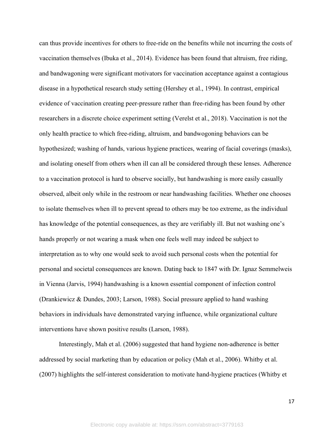can thus provide incentives for others to free-ride on the benefits while not incurring the costs of vaccination themselves (Ibuka et al., 2014). Evidence has been found that altruism, free riding, and bandwagoning were significant motivators for vaccination acceptance against a contagious disease in a hypothetical research study setting (Hershey et al., 1994). In contrast, empirical evidence of vaccination creating peer-pressure rather than free-riding has been found by other researchers in a discrete choice experiment setting (Verelst et al., 2018). Vaccination is not the only health practice to which free-riding, altruism, and bandwogoning behaviors can be hypothesized; washing of hands, various hygiene practices, wearing of facial coverings (masks), and isolating oneself from others when ill can all be considered through these lenses. Adherence to a vaccination protocol is hard to observe socially, but handwashing is more easily casually observed, albeit only while in the restroom or near handwashing facilities. Whether one chooses to isolate themselves when ill to prevent spread to others may be too extreme, as the individual has knowledge of the potential consequences, as they are verifiably ill. But not washing one's hands properly or not wearing a mask when one feels well may indeed be subject to interpretation as to why one would seek to avoid such personal costs when the potential for personal and societal consequences are known. Dating back to 1847 with Dr. Ignaz Semmelweis in Vienna (Jarvis, 1994) handwashing is a known essential component of infection control (Drankiewicz & Dundes, 2003; Larson, 1988). Social pressure applied to hand washing behaviors in individuals have demonstrated varying influence, while organizational culture interventions have shown positive results (Larson, 1988).

Interestingly, Mah et al. (2006) suggested that hand hygiene non-adherence is better addressed by social marketing than by education or policy (Mah et al., 2006). Whitby et al. (2007) highlights the self-interest consideration to motivate hand-hygiene practices (Whitby et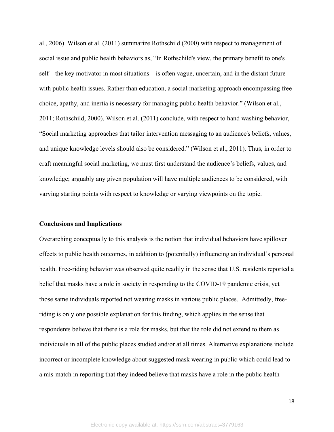al., 2006). Wilson et al. (2011) summarize Rothschild (2000) with respect to management of social issue and public health behaviors as, "In Rothschild's view, the primary benefit to one's self – the key motivator in most situations – is often vague, uncertain, and in the distant future with public health issues. Rather than education, a social marketing approach encompassing free choice, apathy, and inertia is necessary for managing public health behavior." (Wilson et al., 2011; Rothschild, 2000). Wilson et al. (2011) conclude, with respect to hand washing behavior, "Social marketing approaches that tailor intervention messaging to an audience's beliefs, values, and unique knowledge levels should also be considered." (Wilson et al., 2011). Thus, in order to craft meaningful social marketing, we must first understand the audience's beliefs, values, and knowledge; arguably any given population will have multiple audiences to be considered, with varying starting points with respect to knowledge or varying viewpoints on the topic.

#### **Conclusions and Implications**

Overarching conceptually to this analysis is the notion that individual behaviors have spillover effects to public health outcomes, in addition to (potentially) influencing an individual's personal health. Free-riding behavior was observed quite readily in the sense that U.S. residents reported a belief that masks have a role in society in responding to the COVID-19 pandemic crisis, yet those same individuals reported not wearing masks in various public places. Admittedly, freeriding is only one possible explanation for this finding, which applies in the sense that respondents believe that there is a role for masks, but that the role did not extend to them as individuals in all of the public places studied and/or at all times. Alternative explanations include incorrect or incomplete knowledge about suggested mask wearing in public which could lead to a mis-match in reporting that they indeed believe that masks have a role in the public health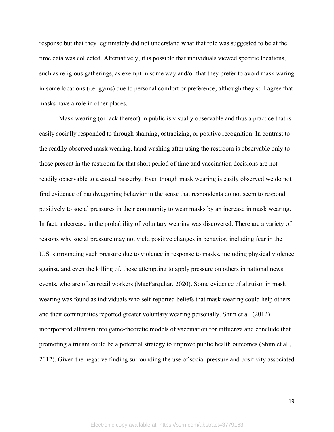response but that they legitimately did not understand what that role was suggested to be at the time data was collected. Alternatively, it is possible that individuals viewed specific locations, such as religious gatherings, as exempt in some way and/or that they prefer to avoid mask waring in some locations (i.e. gyms) due to personal comfort or preference, although they still agree that masks have a role in other places.

Mask wearing (or lack thereof) in public is visually observable and thus a practice that is easily socially responded to through shaming, ostracizing, or positive recognition. In contrast to the readily observed mask wearing, hand washing after using the restroom is observable only to those present in the restroom for that short period of time and vaccination decisions are not readily observable to a casual passerby. Even though mask wearing is easily observed we do not find evidence of bandwagoning behavior in the sense that respondents do not seem to respond positively to social pressures in their community to wear masks by an increase in mask wearing. In fact, a decrease in the probability of voluntary wearing was discovered. There are a variety of reasons why social pressure may not yield positive changes in behavior, including fear in the U.S. surrounding such pressure due to violence in response to masks, including physical violence against, and even the killing of, those attempting to apply pressure on others in national news events, who are often retail workers (MacFarquhar, 2020). Some evidence of altruism in mask wearing was found as individuals who self-reported beliefs that mask wearing could help others and their communities reported greater voluntary wearing personally. Shim et al. (2012) incorporated altruism into game-theoretic models of vaccination for influenza and conclude that promoting altruism could be a potential strategy to improve public health outcomes (Shim et al., 2012). Given the negative finding surrounding the use of social pressure and positivity associated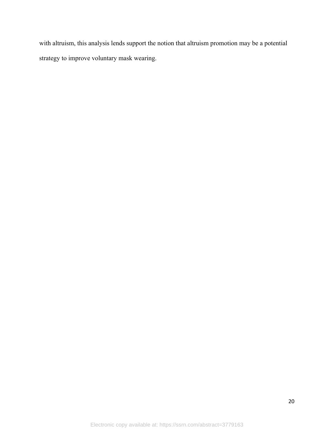with altruism, this analysis lends support the notion that altruism promotion may be a potential strategy to improve voluntary mask wearing.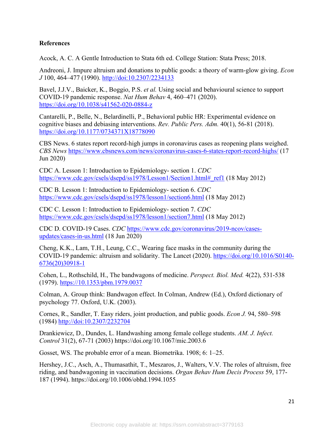# **References**

Acock, A. C. A Gentle Introduction to Stata 6th ed. College Station: Stata Press; 2018.

Andreoni, J. Impure altruism and donations to public goods: a theory of warm-glow giving. *Econ J* 100, 464–477 (1990).<http://doi:10.2307/2234133>

Bavel, J.J.V., Baicker, K., Boggio, P.S. *et al.* Using social and behavioural science to support COVID-19 pandemic response. *Nat Hum Behav* 4, 460–471 (2020). <https://doi.org/10.1038/s41562-020-0884-z>

Cantarelli, P., Belle, N., Belardinelli, P., Behavioral public HR: Experimental evidence on cognitive biases and debiasing interventions. *Rev. Public Pers. Adm.* 40(1), 56-81 (2018). [https://doi.org/10.1177/0734371X18778090](https://doi.org/10.1177%2F0734371X18778090)

CBS News. 6 states report record-high jumps in coronavirus cases as reopening plans weighed. *CBS News* <https://www.cbsnews.com/news/coronavirus-cases-6-states-report-record-highs/>(17 Jun 2020)

CDC A. Lesson 1: Introduction to Epidemiology- section 1. *CDC*  [https://www.cdc.gov/csels/dsepd/ss1978/Lesson1/Section1.html#\\_ref1](https://www.cdc.gov/csels/dsepd/ss1978/Lesson1/Section1.html#_ref1) (18 May 2012)

CDC B. Lesson 1: Introduction to Epidemiology- section 6. *CDC*  <https://www.cdc.gov/csels/dsepd/ss1978/lesson1/section6.html> (18 May 2012)

CDC C. Lesson 1: Introduction to Epidemiology- section 7. *CDC*  <https://www.cdc.gov/csels/dsepd/ss1978/lesson1/section7.html> (18 May 2012)

CDC D. COVID-19 Cases. *CDC* [https://www.cdc.gov/coronavirus/2019-ncov/cases](https://www.cdc.gov/coronavirus/2019-ncov/cases-updates/cases-in-us.html)[updates/cases-in-us.html](https://www.cdc.gov/coronavirus/2019-ncov/cases-updates/cases-in-us.html) (18 Jun 2020)

Cheng, K.K., Lam, T.H., Leung, C.C., Wearing face masks in the community during the COVID-19 pandemic: altruism and solidarity. The Lancet (2020). [https://doi.org/10.1016/S0140-](https://doi.org/10.1016/S0140-6736(20)30918-1) [6736\(20\)30918-1](https://doi.org/10.1016/S0140-6736(20)30918-1)

Cohen, L., Rothschild, H., The bandwagons of medicine. *Perspect. Biol. Med.* 4(22), 531-538 (1979). https:/[/10.1353/pbm.1979.0037](https://doi.org/10.1353/pbm.1979.0037)

Colman, A. Group think: Bandwagon effect. In Colman, Andrew (Ed.), Oxford dictionary of psychology 77. Oxford, U.K. (2003).

Cornes, R., Sandler, T. Easy riders, joint production, and public goods. *Econ J.* 94, 580–598 (1984) <http://doi:10.2307/2232704>

Drankiewicz, D., Dundes, L. Handwashing among female college students. *AM. J. Infect. Control* 31(2), 67-71 (2003)<https://doi.org/10.1067/mic.2003.6>

Gosset, WS. The probable error of a mean. Biometrika. 1908; 6: 1–25.

Hershey, J.C., Asch, A., Thumasathit, T., Meszaros, J., Walters, V.V. The roles of altruism, free riding, and bandwagoning in vaccination decisions. *Organ Behav Hum Decis Process* 59, 177- 187 (1994). <https://doi.org/10.1006/obhd.1994.1055>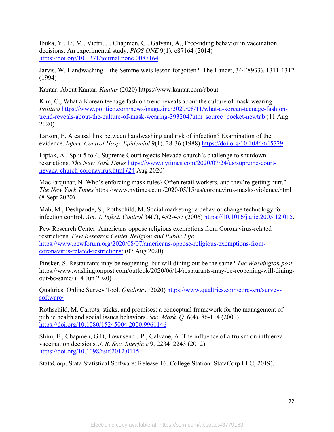Ibuka, Y., Li, M., Vietri, J., Chapmen, G., Galvani, A., Free-riding behavior in vaccination decisions: An experimental study. *PlOS ONE* 9(1), e87164 (2014) <https://doi.org/10.1371/journal.pone.0087164>

Jarvis, W. Handwashing—the Semmelweis lesson forgotten?. The Lancet, 344(8933), 1311-1312 (1994)

Kantar. About Kantar. *Kantar* (2020)<https://www.kantar.com/about>

Kim, C., What a Korean teenage fashion trend reveals about the culture of mask-wearing. *Politico* [https://www.politico.com/news/magazine/2020/08/11/what-a-korean-teenage-fashion](https://www.politico.com/news/magazine/2020/08/11/what-a-korean-teenage-fashion-trend-reveals-about-the-culture-of-mask-wearing-393204?utm_source=pocket-newtab)[trend-reveals-about-the-culture-of-mask-wearing-393204?utm\\_source=pocket-newtab](https://www.politico.com/news/magazine/2020/08/11/what-a-korean-teenage-fashion-trend-reveals-about-the-culture-of-mask-wearing-393204?utm_source=pocket-newtab) (11 Aug 2020)

Larson, E. A causal link between handwashing and risk of infection? Examination of the evidence. *Infect. Control Hosp. Epidemiol* 9(1), 28-36 (1988) <https://doi.org/10.1086/645729>

Liptak, A., Split 5 to 4, Supreme Court rejects Nevada church's challenge to shutdown restrictions. *The New York Times* [https://www.nytimes.com/2020/07/24/us/supreme-court](https://www.nytimes.com/2020/07/24/us/supreme-court-nevada-church-coronavirus.html%20(24)[nevada-church-coronavirus.html \(24](https://www.nytimes.com/2020/07/24/us/supreme-court-nevada-church-coronavirus.html%20(24) Aug 2020)

MacFarquhar, N. Who's enforcing mask rules? Often retail workers, and they're getting hurt." *The New York Times* https://www.nytimes.com/2020/05/15/us/coronavirus-masks-violence.html (8 Sept 2020)

Mah, M., Deshpande, S., Rothschild, M. Social marketing: a behavior change technology for infection control. *Am. J. Infect. Control* 34(7), 452-457 (2006) [https://10.1016/j.ajic.2005.12.015.](https://10.1016/j.ajic.2005.12.015)

Pew Research Center. Americans oppose religious exemptions from Coronavirus-related restrictions. *Pew Research Center Religion and Public Life* [https://www.pewforum.org/2020/08/07/americans-oppose-religious-exemptions-from](https://www.pewforum.org/2020/08/07/americans-oppose-religious-exemptions-from-coronavirus-related-restrictions/%20(07)[coronavirus-related-restrictions/ \(07](https://www.pewforum.org/2020/08/07/americans-oppose-religious-exemptions-from-coronavirus-related-restrictions/%20(07) Aug 2020)

Pinsker, S. Restaurants may be reopening, but will dining out be the same? *The Washington post* [https://www.washingtonpost.com/outlook/2020/06/14/restaurants-may-be-reopening-will-dining](https://www.washingtonpost.com/outlook/2020/06/14/restaurants-may-be-reopening-will-dining-out-be-same/)[out-be-same/](https://www.washingtonpost.com/outlook/2020/06/14/restaurants-may-be-reopening-will-dining-out-be-same/) (14 Jun 2020)

Qualtrics. Online Survey Tool. *Qualtrics (*2020) [https://www.qualtrics.com/core-xm/survey](https://www.qualtrics.com/core-xm/survey-software/)[software/](https://www.qualtrics.com/core-xm/survey-software/)

Rothschild, M. Carrots, sticks, and promises: a conceptual framework for the management of public health and social issues behaviors. *Soc. Mark. Q.* 6(4), 86-114 (2000) <https://doi.org/10.1080/15245004.2000.9961146>

Shim, E., Chapmen, G.B, Townsend J.P., Galvane, A. The influence of altruism on influenza vaccination decisions. *J. R. Soc. Interface* 9, 2234–2243 (2012). <https://doi.org/10.1098/rsif.2012.0115>

StataCorp. Stata Statistical Software: Release 16. College Station: StataCorp LLC; 2019).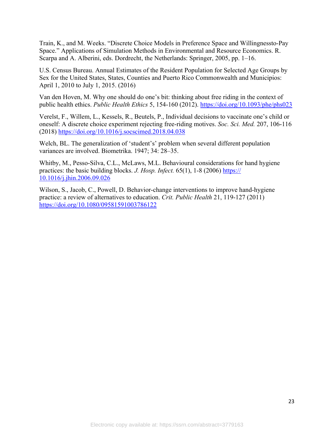Train, K., and M. Weeks. "Discrete Choice Models in Preference Space and Willingnessto-Pay Space." Applications of Simulation Methods in Environmental and Resource Economics. R. Scarpa and A. Alberini, eds. Dordrecht, the Netherlands: Springer, 2005, pp. 1–16.

U.S. Census Bureau. Annual Estimates of the Resident Population for Selected Age Groups by Sex for the United States, States, Counties and Puerto Rico Commonwealth and Municipios: April 1, 2010 to July 1, 2015. (2016)

Van den Hoven, M. Why one should do one's bit: thinking about free riding in the context of public health ethics. *Public Health Ethics* 5, 154-160 (2012).<https://doi.org/10.1093/phe/phs023>

Verelst, F., Willem, L., Kessels, R., Beutels, P., Individual decisions to vaccinate one's child or oneself: A discrete choice experiment rejecting free-riding motives. *Soc. Sci. Med.* 207, 106-116 (2018) <https://doi.org/10.1016/j.socscimed.2018.04.038>

Welch, BL. The generalization of 'student's' problem when several different population variances are involved. Biometrika. 1947; 34: 28–35.

Whitby, M., Pesso-Silva, C.L., McLaws, M.L. Behavioural considerations for hand hygiene practices: the basic building blocks. *J. Hosp. Infect.* 65(1), 1-8 (2006) https:// [10.1016/j.jhin.2006.09.026](https://doi.org/10.1016/j.jhin.2006.09.026) 

Wilson, S., Jacob, C., Powell, D. Behavior-change interventions to improve hand-hygiene practice: a review of alternatives to education. *Crit. Public Health* 21, 119-127 (2011) <https://doi.org/10.1080/09581591003786122>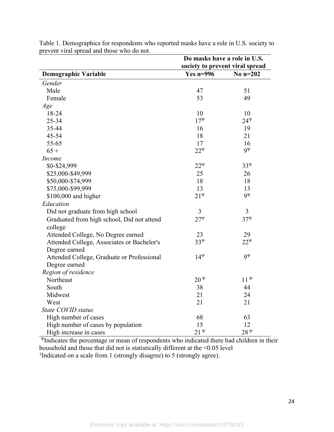|                                            | Do masks have a role in U.S.    |              |  |  |
|--------------------------------------------|---------------------------------|--------------|--|--|
|                                            | society to prevent viral spread |              |  |  |
| <b>Demographic Variable</b>                | Yes $n=996$                     | No $n=202$   |  |  |
| Gender                                     |                                 |              |  |  |
| Male                                       | 47                              | 51           |  |  |
| Female                                     | 53                              | 49           |  |  |
| Age                                        |                                 |              |  |  |
| 18-24                                      | 10                              | 10           |  |  |
| 25-34                                      | $17^{\Psi}$                     | $24^{\Psi}$  |  |  |
| 35-44                                      | 16                              | 19           |  |  |
| 45-54                                      | 18                              | 21           |  |  |
| 55-65                                      | 17                              | 16           |  |  |
| $65 +$                                     | $22^{\Psi}$                     | $9^{\Psi}$   |  |  |
| Income                                     |                                 |              |  |  |
| \$0-\$24,999                               | $22^{\Psi}$                     | $33^{\Psi}$  |  |  |
| \$25,000-\$49,999                          | 25                              | 26           |  |  |
| \$50,000-\$74,999                          | 18                              | 18           |  |  |
| \$75,000-\$99,999                          | 13                              | 13           |  |  |
| \$100,000 and higher                       | $21^{\Psi}$                     | $9^{\Psi}$   |  |  |
| Education                                  |                                 |              |  |  |
| Did not graduate from high school          | 3                               | 3            |  |  |
| Graduated from high school, Did not attend | $27^{\Psi}$                     | $37^{\Psi}$  |  |  |
| college                                    |                                 |              |  |  |
| Attended College, No Degree earned         | 23                              | 29           |  |  |
| Attended College, Associates or Bachelor's | $33^{\Psi}$                     | $22^{\Psi}$  |  |  |
| Degree earned                              |                                 |              |  |  |
| Attended College, Graduate or Professional | $14^{\Psi}$                     | $9^{\Psi}$   |  |  |
| Degree earned                              |                                 |              |  |  |
| Region of residence                        |                                 |              |  |  |
| Northeast                                  | $20^{\mathrm{T}}$               | $11^{\Psi}$  |  |  |
| South                                      | 38                              | 44           |  |  |
| Midwest                                    | 21                              | 24           |  |  |
| West                                       | 21                              | 21           |  |  |
| State COVID status                         |                                 |              |  |  |
| High number of cases                       | 68                              | 63           |  |  |
| High number of cases by population         | 15                              | 12           |  |  |
| High increase in cases                     | $21^{\Psi}$                     | $28^{\rm y}$ |  |  |

Table 1. Demographics for respondents who reported masks have a role in U.S. society to prevent viral spread and those who do not.

<sup>Ψ</sup>Indicates the percentage or mean of respondents who indicated there had children in their household and those that did not is statistically different at the <0.05 level <sup>1</sup>Indicated on a scale from 1 (strongly disagree) to 5 (strongly agree).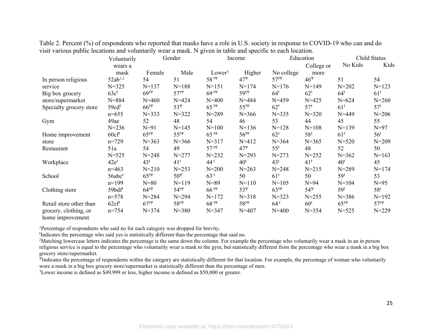| л.                      | Voluntarily          | Gender                             |                                    | O                  | Income              |                                    | Education       | Child Status        |                 |
|-------------------------|----------------------|------------------------------------|------------------------------------|--------------------|---------------------|------------------------------------|-----------------|---------------------|-----------------|
|                         | wears a              |                                    |                                    |                    |                     |                                    | College or      | No Kids             | Kids            |
|                         | mask                 | Female                             | Male                               | Lower <sup>3</sup> | Higher              | No college                         | more            |                     |                 |
| In person religious     | $52ab^{1,2}$         | 54                                 | 51                                 | $58$ <sup>ty</sup> | $47^{\Psi}$         | 57 <sup>14</sup>                   | $46^{\Psi}$     | 51                  | 54              |
| service                 | $N = 325$            | $N = 137$                          | $N = 188$                          | $N = 151$          | $N = 174$           | $N=176$                            | $N = 149$       | $N = 202$           | $N = 123$       |
| Big box grocery         | 63c <sup>†</sup>     | 69 <sup>ft</sup>                   | $57$ f $\Psi$                      | $69$ † $\Psi$      | 59 <sup>†</sup> Y   | $64^{\dagger}$                     | 62 <sup>†</sup> | 64 <sup>†</sup>     | 61 <sup>†</sup> |
| store/supermarket       | $N = 884$            | $N = 460$                          | $N = 424$                          | $N = 400$          | $N = 484$           | $N = 459$                          | $N = 425$       | $N = 624$           | $N = 260$       |
| Specialty grocery store | 59cd <sup>†</sup>    | 66 <sup>ft</sup>                   | $53^{\Psi}$                        | $65$ <sup>ty</sup> | $55^{\text{fY}}$    | 62 <sup>†</sup>                    | 57 <sup>†</sup> | 61 <sup>†</sup>     | 57 <sup>†</sup> |
|                         | $n=655$              | $N = 333$                          | $N = 322$                          | $N = 289$          | $N = 366$           | $N = 335$                          | $N = 320$       | $N = 449$           | $N = 206$       |
| Gym                     | 49ae                 | 52                                 | 48                                 | 54                 | 46                  | 53                                 | 44              | 45                  | 55              |
|                         | $N = 236$            | $N=91$                             | $N = 145$                          | $N = 100$          | $N=136$             | $N = 128$                          | $N = 108$       | $N=139$             | $N=97$          |
| Home improvement        | 60cf <sup>†</sup>    | $65$ <sup>†<math>\Psi</math></sup> | $55$ <sup>†<math>\Psi</math></sup> | $65$ <sup>ty</sup> | 56 <sup>†</sup>     | 62 <sup>†</sup>                    | 58 <sup>†</sup> | 61 <sup>†</sup>     | 56 <sup>†</sup> |
| store                   | $n=729$              | $N = 363$                          | $N = 366$                          | $N = 317$          | $N = 412$           | $N = 364$                          | $N = 365$       | $N = 520$           | $N = 209$       |
| Restaurant              | 51a                  | 54                                 | 49                                 | $57$ <sup>ty</sup> | $47^{\Psi}$         | $55^{\rm t}$                       | 48              | 52                  | 50              |
|                         | $N = 525$            | $N = 248$                          | $N = 277$                          | $N = 232$          | $N = 293$           | $N = 273$                          | $N = 252$       | $N = 362$           | $N=163$         |
| Workplace               | $42e^{t}$            | 43 <sup>†</sup>                    | 41 <sup>†</sup>                    | $44^{\frac{1}{3}}$ | 40 <sup>†</sup>     | 43 <sup>†</sup>                    | 41 <sup>†</sup> | 40 <sup>†</sup>     | 45              |
|                         | $n=463$              | $N = 210$                          | $N = 253$                          | $N = 200$          | $N = 263$           | $N = 248$                          | $N = 215$       | $N = 289$           | $N=174$         |
| School                  | $56abc$ <sup>†</sup> | 65 <sup>†</sup>                    | $50^{\rm T}$                       | $63+$              | 50                  | 61 <sup>†</sup>                    | 50              | 59 <sup>†</sup>     | 53              |
|                         | $n=199$              | $N=80$                             | $N=119$                            | $N = 89$           | $N = 110$           | $N = 105$                          | $N=94$          | $N = 104$           | $N=95$          |
| Clothing store          | 59bdf <sup>t</sup>   | 64 <sup>1</sup>                    | 54 <sup>14</sup>                   | $661\Psi$          | $53^{\Psi}$         | $63$ <sup>†<math>\Psi</math></sup> | $54^{\Psi}$     | 59 <sup>†</sup>     | 58 <sup>†</sup> |
|                         | $n=578$              | $N = 284$                          | $N = 294$                          | $N = 172$          | $N = 318$           | $N = 323$                          | $N = 255$       | $N = 386$           | $N=192$         |
| Retail store other than | 62cf <sup>†</sup>    | $67$ ty                            | $58f^{\text{H}}$                   | $68 + 49$          | $58^{\text{f}\Psi}$ | $64^{\frac{1}{3}}$                 | 60 <sup>†</sup> | $65^{\text{f}\Psi}$ | $57^{fY}$       |
| grocery, clothing, or   | $n = 754$            | $N = 374$                          | $N = 380$                          | $N = 347$          | $N = 407$           | $N = 400$                          | $N = 354$       | $N = 525$           | $N = 229$       |
| home improvement        |                      |                                    |                                    |                    |                     |                                    |                 |                     |                 |

Table 2. Percent (%) of respondents who reported that masks have a role in U.S. society in response to COVID-19 who can and do visit various public locations and voluntarily wear a mask. N given in table and specific to each location.

<sup>1</sup>Percentage of respondents who said no for each category was dropped for brevity.

<sup>†</sup>Indicates the percentage who said yes is statistically different than the percentage that said no.

<sup>2</sup>Matching lowercase letters indicates the percentage is the same down the column. For example the percentage who voluntarily wear a mask in an in person religious service is equal to the percentage who voluntarily wear a mask to the gym, but statistically different from the percentage who wear a mask in a big box grocery store/supermarket.

<sup>Ψ</sup>Indicates the percentage of respondents within the category are statistically different for that location. For example, the percentage of woman who voluntarily wore a mask in a big box grocery store/supermarket is statistically different than the percentage of men.

<sup>3</sup>Lower income is defined as \$49,999 or less, higher income is defined as \$50,000 or greater.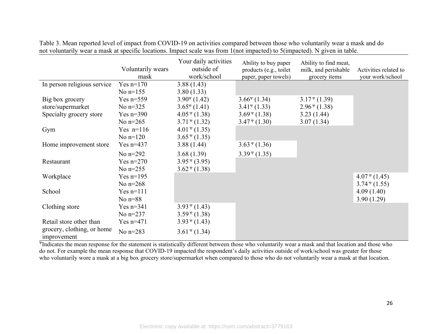|                                           | Voluntarily wears<br>mask | Your daily activities<br>outside of<br>work/school | Ability to buy paper<br>products (e.g., toilet<br>paper, paper towels) | Ability to find meat,<br>milk, and perishable<br>grocery items | Activities related to<br>your work/school |
|-------------------------------------------|---------------------------|----------------------------------------------------|------------------------------------------------------------------------|----------------------------------------------------------------|-------------------------------------------|
| In person religious service               | Yes $n=170$               | 3.88(1.43)                                         |                                                                        |                                                                |                                           |
|                                           | No $n=155$                | 3.80(1.33)                                         |                                                                        |                                                                |                                           |
| Big box grocery                           | Yes $n=559$               | $3.90^{\rm o}$ (1.42)                              | $3.66^{\circ}$ (1.34)                                                  | $3.17 \frac{\Psi}{2}(1.39)$                                    |                                           |
| store/supermarket                         | No $n=325$                | $3.65^{\rm o}(1.41)$                               | $3.41^{\circ}$ (1.33)                                                  | $2.96\text{ }^{\circ}\text{ (1.38)}$                           |                                           |
| Specialty grocery store                   | Yes $n=390$               | $4.05\,$ <sup>4</sup> (1.38)                       | $3.69$ <sup>4</sup> (1.38)                                             | 3.23(1.44)                                                     |                                           |
|                                           | No $n=265$                | $3.71 \text{ }^{\circ}$ (1.32)                     | $3.47^{\frac{w}{2}}(1.30)$                                             | 3.07(1.34)                                                     |                                           |
| Gym                                       | Yes $n=116$               | $4.01 \text{ }^{\circ}$ (1.35)                     |                                                                        |                                                                |                                           |
|                                           | No $n=120$                | $3.65 \text{ }^{\circ} (1.35)$                     |                                                                        |                                                                |                                           |
| Home improvement store                    | Yes $n=437$               | 3.88(1.44)                                         | $3.63 \text{ }^{\circ} (1.36)$                                         |                                                                |                                           |
|                                           | No $n=292$                | 3.68(1.39)                                         | $3.39 \text{ }^{\circ} (1.35)$                                         |                                                                |                                           |
| Restaurant                                | Yes $n=270$               | $3.95\,^{\rm\Psi}(3.95)$                           |                                                                        |                                                                |                                           |
|                                           | No $n=255$                | $3.62 \text{ }^{\circ} (1.38)$                     |                                                                        |                                                                |                                           |
| Workplace                                 | Yes $n=195$               |                                                    |                                                                        |                                                                | $4.07 \frac{\Psi}{4}(1.45)$               |
|                                           | No $n=268$                |                                                    |                                                                        |                                                                | $3.74 \text{ }^{\circ} (1.55)$            |
| School                                    | Yes $n=111$               |                                                    |                                                                        |                                                                | 4.09(1.40)                                |
|                                           | No $n=88$                 |                                                    |                                                                        |                                                                | 3.90(1.29)                                |
| Clothing store                            | Yes $n=341$               | $3.93 \text{ }^{\circ} (1.43)$                     |                                                                        |                                                                |                                           |
|                                           | No $n=237$                | $3.59 \text{ }^{\circ} (1.38)$                     |                                                                        |                                                                |                                           |
| Retail store other than                   | Yes $n=471$               | $3.93 \text{ }^{\circ}$ (1.43)                     |                                                                        |                                                                |                                           |
| grocery, clothing, or home<br>improvement | No $n=283$                | $3.61 \text{ }^{\circ}$ (1.34)                     |                                                                        |                                                                |                                           |

Table 3. Mean reported level of impact from COVID-19 on activities compared between those who voluntarily wear a mask and do not voluntarily wear a mask at specific locations. Impact scale was from 1(not impacted) to 5(impacted). N given in table.

<sup>Ψ</sup>Indicates the mean response for the statement is statistically different between those who voluntarily wear a mask and that location and those who do not. For example the mean response that COVID-19 impacted the respondent's daily activities outside of work/school was greater for those who voluntarily wore a mask at a big box grocery store/supermarket when compared to those who do not voluntarily wear a mask at that location.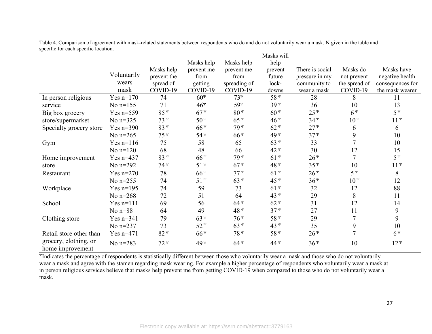|                                           |             |                 |                 |                 | Masks will      |                 |                |                  |
|-------------------------------------------|-------------|-----------------|-----------------|-----------------|-----------------|-----------------|----------------|------------------|
|                                           |             |                 | Masks help      | Masks help      | help            |                 |                |                  |
|                                           |             | Masks help      | prevent me      | prevent me      | prevent         | There is social | Masks do       | Masks have       |
|                                           | Voluntarily | prevent the     | from            | from            | future          | pressure in my  | not prevent    | negative health  |
|                                           | wears       | spread of       | getting         | spreading of    | lock-           | community to    | the spread of  | consequences for |
|                                           | mask        | COVID-19        | COVID-19        | COVID-19        | downs           | wear a mask     | COVID-19       | the mask wearer  |
| In person religious                       | Yes $n=170$ | 74              | $60^{\rm o}$    | $73^{\rm o}$    | $58^{\rm u}$    | 28              | 8              | 11               |
| service                                   | No $n=155$  | 71              | $46^{\rm o}$    | 59ч             | 39 <sup>T</sup> | 36              | 10             | 13               |
| Big box grocery                           | Yes $n=559$ | $85^{\rm u}$    | $67^{\nu}$      | $80\Psi$        | $60^{\circ}$    | $25^{\nu}$      | $6^{\Psi}$     | $5^{\Psi}$       |
| store/supermarket                         | No $n=325$  | 73 <sup>Y</sup> | $50^{\rm y}$    | $65^{\rm y}$    | $46^{\circ}$    | $34^{\circ}$    | $10^{\rm v}$   | $11^{\Psi}$      |
| Specialty grocery store                   | Yes $n=390$ | $83 \nu$        | $66^{\circ}$    | 79 <sup>y</sup> | $62 \nu$        | $27^{\nu}$      | 6              | 6                |
|                                           | No $n=265$  | $75^{\rm y}$    | $54^{\rm y}$    | $66^{\circ}$    | 49 <sup>y</sup> | $37^{\circ}$    | 9              | 10               |
| Gym                                       | Yes $n=116$ | 75              | 58              | 65              | $63^{\nu}$      | 33              | 7              | 10               |
|                                           | No $n=120$  | 68              | 48              | 66              | 42 <sup>¥</sup> | 30              | 12             | 15               |
| Home improvement                          | Yes $n=437$ | 83 <sup>4</sup> | $66^{\circ}$    | 79 <sup>Y</sup> | $61^{\nu}$      | $26^{\circ}$    | $\overline{7}$ | $5^{\Psi}$       |
| store                                     | No $n=292$  | 74 <sup>¥</sup> | $51^{\nu}$      | $67^{\nu}$      | 48 <sup>y</sup> | $35^{\circ}$    | 10             | $11^{\Psi}$      |
| Restaurant                                | Yes $n=270$ | 78              | $66^{\circ}$    | $77^{\nu}$      | $61^{\nu}$      | $26^{\circ}$    | $5^{\Psi}$     | $\,8\,$          |
|                                           | No $n=255$  | 74              | $51^{\circ}$    | $63^{\nu}$      | 45 <sup>4</sup> | $36\Psi$        | $10\Psi$       | 12               |
| Workplace                                 | Yes $n=195$ | 74              | 59              | 73              | $61^{\nu}$      | 32              | 12             | 88               |
|                                           | No $n=268$  | 72              | 51              | 64              | 43 <sup>4</sup> | 29              | 8              | 11               |
| School                                    | $Yes n=111$ | 69              | 56              | $64^{\nu}$      | $62^{\nu}$      | 31              | 12             | 14               |
|                                           | No $n=88$   | 64              | 49              | 48 <sup>4</sup> | $37^{\nu}$      | 27              | 11             | 9                |
| Clothing store                            | Yes $n=341$ | 79              | $63^{\nu}$      | $76^{\circ}$    | $58^{\rm y}$    | 29              | $\overline{7}$ | 9                |
|                                           | No $n=237$  | 73              | $52^{\nu}$      | $63^{\circ}$    | 43 <sup>4</sup> | 35              | 9              | 10               |
| Retail store other than                   | Yes $n=471$ | $82^{\nu}$      | $66^{\circ}$    | 78 <sup>Y</sup> | 58 <sup>Y</sup> | $26^{\rm v}$    | $\overline{7}$ | $6^{\Psi}$       |
| grocery, clothing, or<br>home improvement | No n=283    | $72^{\nu}$      | 49 <sup>¥</sup> | $64^{\circ}$    | 44 <sup>Y</sup> | $36^{\circ}$    | 10             | $12^{\Psi}$      |

Table 4. Comparison of agreement with mask-related statements between respondents who do and do not voluntarily wear a mask. N given in the table and specific for each specific location.

<sup>Ψ</sup>Indicates the percentage of respondents is statistically different between those who voluntarily wear a mask and those who do not voluntarily wear a mask and agree with the stamen regarding mask wearing. For example a higher percentage of respondents who voluntarily wear a mask at in person religious services believe that masks help prevent me from getting COVID-19 when compared to those who do not voluntarily wear a mask.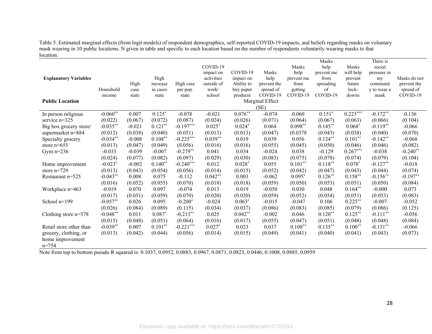Table 5. Estimated marginal effects (from logit models) of respondent demographics, self-reported COVID-19 impacts, and beliefs regarding masks on voluntary mask wearing in 10 public locations. N given in table and specific to each location based on the number of respondents voluntarily wearing masks to that location.

|                              |            |          |           |             |            |            |                 |            | Masks      |            | There is    |              |
|------------------------------|------------|----------|-----------|-------------|------------|------------|-----------------|------------|------------|------------|-------------|--------------|
|                              |            |          |           |             | COVID-19   |            |                 | Masks      | help       | Masks      | social      |              |
|                              |            |          |           |             | impact on  | COVID-19   | Masks           | help       | prevent me | will help  | pressure in |              |
| <b>Explanatory Variables</b> |            |          | High      |             | activities | impact on  | help            | prevent me | from       | prevent    | my          | Masks do not |
|                              |            | High     | increase  | High case   | outside of | Ability to | prevent the     | from       | spreading  | future     | communit    | prevent the  |
|                              | Household  | case     | in cases  | per pop.    | work/      | buy paper  | spread of       | getting    | of         | lock-      | y to wear a | spread of    |
|                              | income     | state    | state     | state       | school     | products   | COVID-19        | COVID-19   | COVID-19   | downs      | mask        | COVID-19     |
| <b>Public Location</b>       |            |          |           |             |            |            | Marginal Effect |            |            |            |             |              |
|                              |            |          |           |             |            |            | (SE)            |            |            |            |             |              |
| In person religious          | $-0.060**$ | 0.007    | $0.125*$  | $-0.078$    | $-0.021$   | $0.076**$  | $-0.074$        | 0.060      | $0.151*$   | $0.223***$ | $-0.172**$  | 0.136        |
| service $n=325$              | (0.022)    | (0.067)  | (0.072)   | (0.087)     | (0.024)    | (0.026)    | (0.071)         | (0.064)    | (0.067)    | (0.063)    | (0.066)     | (0.104)      |
| Big box grocery store/       | $-0.035**$ | $-0.021$ | $0.121**$ | $-0.197***$ | $0.025*$   | $0.024*$   | 0.064           | $0.098**$  | $0.145***$ | $0.068*$   | $-0.119**$  | $-0.066$     |
| supermarket n=884            | (0.012)    | (0.038)  | (0.040)   | (0.051)     | (0.013)    | (0.013)    | (0.047)         | (0.0378)   | (0.043)    | (0.038)    | (0.040)     | (0.070)      |
| Specialty grocery            | $-0.034**$ | $-0.008$ | $0.108**$ | $-0.225***$ | $0.039**$  | 0.019      | 0.039           | 0.056      | $0.124**$  | $0.101**$  | $-0.142**$  | $-0.068$     |
| store $n=655$                | (0.013)    | (0.047)  | (0.049)   | (0.056)     | (0.016)    | (0.016)    | (0.055)         | (0.045)    | (0.050)    | (0.046)    | (0.046)     | (0.082)      |
| Gym $n=236$                  | $-0.033$   | $-0.039$ | $-0.007$  | $-0.279**$  | 0.041      | 0.034      | $-0.024$        | 0.038      | $-0.129$   | $0.267***$ | $-0.038$    | $-0.240**$   |
|                              | (0.024)    | (0.077)  | (0.082)   | (0.097)     | (0.029)    | (0.030)    | (0.083)         | (0.075)    | (0.078)    | (0.074)    | (0.079)     | (0.104)      |
| Home improvement             | $-0.023*$  | $-0.002$ | $0.140**$ | $-0.240***$ | 0.012      | $0.028*$   | 0.055           | $0.101**$  | $0.118***$ | $0.078*$   | $-0.127**$  | $-0.018$     |
| store $n=729$                | (0.013)    | (0.043)  | (0.054)   | (0.056)     | (0.014)    | (0.015)    | (0.052)         | (0.042)    | (0.047)    | (0.043)    | (0.044)     | (0.074)      |
| Restaurant n=525             | $-0.043**$ | 0.008    | 0.075     | $-0.112$    | $0.042**$  | 0.003      | $-0.062$        | $0.095*$   | $0.126**$  | $0.158**$  | $-0.156$ ** | $-0.197**$   |
|                              | (0.016)    | (0.052)  | (0.055)   | (0.070)     | (0.018)    | (0.018)    | (0.059)         | (0.050)    | (0.053)    | (0.051)    | (0.050)     | (0.084)      |
| Workplace n=463              | $-0.019$   | 0.070    | 0.097     | $-0.074$    | 0.013      | 0.019      | $-0.050$        | 0.030      | 0.048      | $0.164**$  | $-0.000$    | 0.073        |
|                              | (0.017)    | (0.051)  | (0.059)   | (0.070)     | (0.020)    | (0.020)    | (0.059)         | (0.052)    | (0.054)    | (0.051)    | (0.053)     | (0.083)      |
| School n=199                 | $-0.057**$ | 0.026    | 0.095     | $-0.200*$   | $-0.024$   | $0.063*$   | $-0.015$        | $-0.047$   | 0.106      | $0.225***$ | $-0.007$    | $-0.052$     |
|                              | (0.026)    | (0.084)  | (0.089)   | (0.115)     | (0.034)    | (0.037)    | (0.086)         | (0.083)    | (0.085)    | (0.079)    | (0.086)     | (0.125)      |
| Clothing store $n=578$       | $-0.048**$ | 0.011    | $0.087*$  | $-0.213**$  | 0.025      | $0.042**$  | $-0.002$        | 0.046      | $0.120**$  | $0.125***$ | $-0.111$ ** | $-0.056$     |
|                              | (0.015)    | (0.048)  | (0.051)   | (0.064)     | (0.016)    | (0.017)    | (0.055)         | (0.047)    | (0.051)    | (0.048)    | (0.048)     | (0.084)      |
| Retail store other than      | $-0.039**$ | 0.007    | $0.101**$ | $-0.221***$ | $0.027*$   | 0.023      | 0.037           | $0.108**$  | $0.135***$ | $0.100**$  | $-0.131**$  | $-0.066$     |
| grocery, clothing, or        | (0.013)    | (0.042)  | (0.044)   | (0.056)     | (0.014)    | (0.015)    | (0.049)         | (0.041)    | (0.040)    | (0.041)    | (0.043)     | (0.073)      |
| home improvement             |            |          |           |             |            |            |                 |            |            |            |             |              |
| $n = 754$                    |            |          |           |             |            |            |                 |            |            |            |             |              |
|                              |            |          |           |             |            |            |                 |            |            |            |             |              |

Note from top to bottom pseudo R squared is: 0.1037, 0.0952, 0.0883, 0.0967, 0.0871, 0.0823, 0.0446, 0.1008, 0.0885, 0.0959